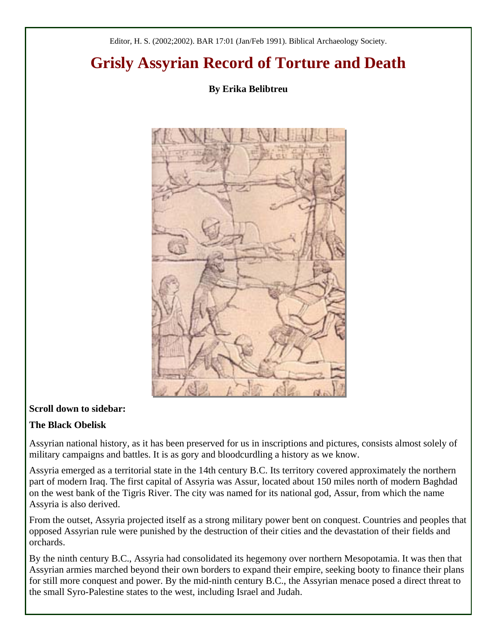

# **Scroll down to sidebar:**

## **The Black Obelisk**

Assyrian national history, as it has been preserved for us in inscriptions and pictures, consists almost solely of military campaigns and battles. It is as gory and bloodcurdling a history as we know.

Assyria emerged as a territorial state in the 14th century B.C. Its territory covered approximately the northern part of modern Iraq. The first capital of Assyria was Assur, located about 150 miles north of modern Baghdad on the west bank of the Tigris River. The city was named for its national god, Assur, from which the name Assyria is also derived.

From the outset, Assyria projected itself as a strong military power bent on conquest. Countries and peoples that opposed Assyrian rule were punished by the destruction of their cities and the devastation of their fields and orchards.

By the ninth century B.C., Assyria had consolidated its hegemony over northern Mesopotamia. It was then that Assyrian armies marched beyond their own borders to expand their empire, seeking booty to finance their plans for still more conquest and power. By the mid-ninth century B.C., the Assyrian menace posed a direct threat to the small Syro-Palestine states to the west, including Israel and Judah.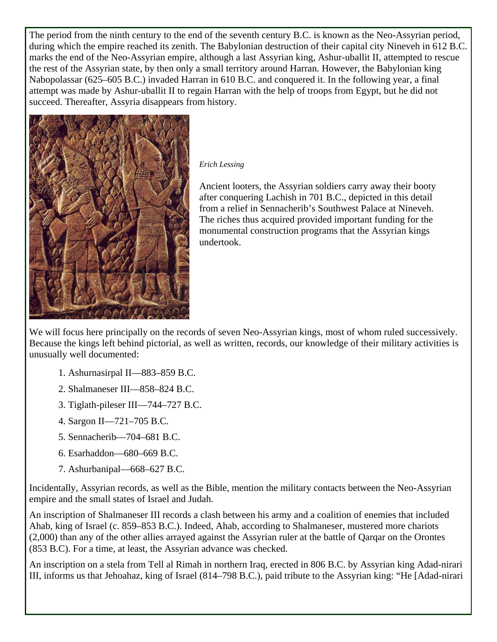The period from the ninth century to the end of the seventh century B.C. is known as the Neo-Assyrian period, during which the empire reached its zenith. The Babylonian destruction of their capital city Nineveh in 612 B.C. marks the end of the Neo-Assyrian empire, although a last Assyrian king, Ashur-uballit II, attempted to rescue the rest of the Assyrian state, by then only a small territory around Harran. However, the Babylonian king Nabopolassar (625–605 B.C.) invaded Harran in 610 B.C. and conquered it. In the following year, a final attempt was made by Ashur-uballit II to regain Harran with the help of troops from Egypt, but he did not succeed. Thereafter, Assyria disappears from history.



*Erich Lessing*

Ancient looters, the Assyrian soldiers carry away their booty after conquering Lachish in 701 B.C., depicted in this detail from a relief in Sennacherib's Southwest Palace at Nineveh. The riches thus acquired provided important funding for the monumental construction programs that the Assyrian kings undertook.

We will focus here principally on the records of seven Neo-Assyrian kings, most of whom ruled successively. Because the kings left behind pictorial, as well as written, records, our knowledge of their military activities is unusually well documented:

- 1. Ashurnasirpal II—883–859 B.C.
- 2. Shalmaneser III—858–824 B.C.
- 3. Tiglath-pileser III—744–727 B.C.
- 4. Sargon II—721–705 B.C.
- 5. Sennacherib—704–681 B.C.
- 6. Esarhaddon—680–669 B.C.
- 7. Ashurbanipal—668–627 B.C.

Incidentally, Assyrian records, as well as the Bible, mention the military contacts between the Neo-Assyrian empire and the small states of Israel and Judah.

An inscription of Shalmaneser III records a clash between his army and a coalition of enemies that included Ahab, king of Israel (c. 859–853 B.C.). Indeed, Ahab, according to Shalmaneser, mustered more chariots (2,000) than any of the other allies arrayed against the Assyrian ruler at the battle of Qarqar on the Orontes (853 B.C). For a time, at least, the Assyrian advance was checked.

An inscription on a stela from Tell al Rimah in northern Iraq, erected in 806 B.C. by Assyrian king Adad-nirari III, informs us that Jehoahaz, king of Israel (814–798 B.C.), paid tribute to the Assyrian king: "He [Adad-nirari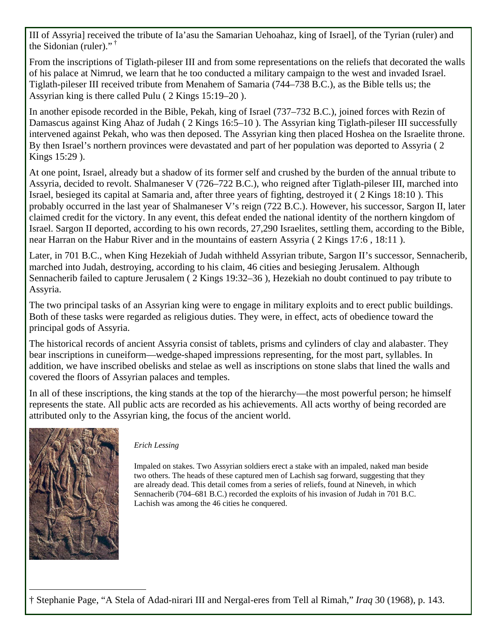III of Assyria] received the tribute of Ia'asu the Samarian Uehoahaz, king of Israel], of the Tyrian (ruler) and the Sidonian (ruler)." $\dagger$ 

From the inscriptions of Tiglath-pileser III and from some representations on the reliefs that decorated the walls of his palace at Nimrud, we learn that he too conducted a military campaign to the west and invaded Israel. Tiglath-pileser III received tribute from Menahem of Samaria (744–738 B.C.), as the Bible tells us; the Assyrian king is there called Pulu ( 2 Kings 15:19–20 ).

In another episode recorded in the Bible, Pekah, king of Israel (737–732 B.C.), joined forces with Rezin of Damascus against King Ahaz of Judah ( 2 Kings 16:5–10 ). The Assyrian king Tiglath-pileser III successfully intervened against Pekah, who was then deposed. The Assyrian king then placed Hoshea on the Israelite throne. By then Israel's northern provinces were devastated and part of her population was deported to Assyria ( 2 Kings 15:29 ).

At one point, Israel, already but a shadow of its former self and crushed by the burden of the annual tribute to Assyria, decided to revolt. Shalmaneser V (726–722 B.C.), who reigned after Tiglath-pileser III, marched into Israel, besieged its capital at Samaria and, after three years of fighting, destroyed it ( 2 Kings 18:10 ). This probably occurred in the last year of Shalmaneser V's reign (722 B.C.). However, his successor, Sargon II, later claimed credit for the victory. In any event, this defeat ended the national identity of the northern kingdom of Israel. Sargon II deported, according to his own records, 27,290 Israelites, settling them, according to the Bible, near Harran on the Habur River and in the mountains of eastern Assyria ( 2 Kings 17:6 , 18:11 ).

Later, in 701 B.C., when King Hezekiah of Judah withheld Assyrian tribute, Sargon II's successor, Sennacherib, marched into Judah, destroying, according to his claim, 46 cities and besieging Jerusalem. Although Sennacherib failed to capture Jerusalem ( 2 Kings 19:32–36 ), Hezekiah no doubt continued to pay tribute to Assyria.

The two principal tasks of an Assyrian king were to engage in military exploits and to erect public buildings. Both of these tasks were regarded as religious duties. They were, in effect, acts of obedience toward the principal gods of Assyria.

The historical records of ancient Assyria consist of tablets, prisms and cylinders of clay and alabaster. They bear inscriptions in cuneiform—wedge-shaped impressions representing, for the most part, syllables. In addition, we have inscribed obelisks and stelae as well as inscriptions on stone slabs that lined the walls and covered the floors of Assyrian palaces and temples.

In all of these inscriptions, the king stands at the top of the hierarchy—the most powerful person; he himself represents the state. All public acts are recorded as his achievements. All acts worthy of being recorded are attributed only to the Assyrian king, the focus of the ancient world.



## *Erich Lessing*

Impaled on stakes. Two Assyrian soldiers erect a stake with an impaled, naked man beside two others. The heads of these captured men of Lachish sag forward, suggesting that they are already dead. This detail comes from a series of reliefs, found at Nineveh, in which Sennacherib (704–681 B.C.) recorded the exploits of his invasion of Judah in 701 B.C. Lachish was among the 46 cities he conquered.

 $\overline{a}$ † Stephanie Page, "A Stela of Adad-nirari III and Nergal-eres from Tell al Rimah," *Iraq* 30 (1968), p. 143.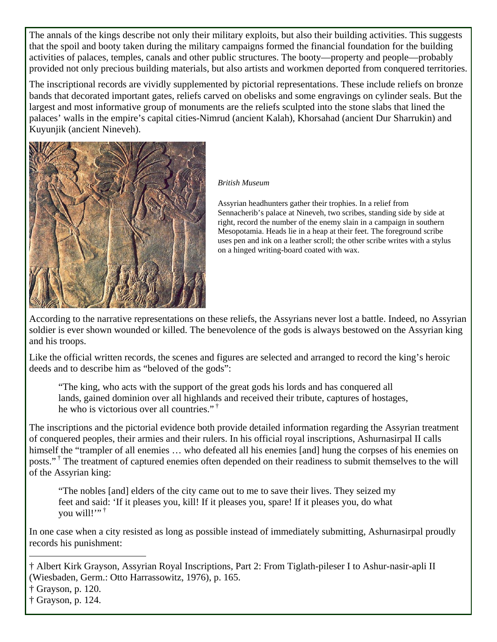The annals of the kings describe not only their military exploits, but also their building activities. This suggests that the spoil and booty taken during the military campaigns formed the financial foundation for the building activities of palaces, temples, canals and other public structures. The booty—property and people—probably provided not only precious building materials, but also artists and workmen deported from conquered territories.

The inscriptional records are vividly supplemented by pictorial representations. These include reliefs on bronze bands that decorated important gates, reliefs carved on obelisks and some engravings on cylinder seals. But the largest and most informative group of monuments are the reliefs sculpted into the stone slabs that lined the palaces' walls in the empire's capital cities-Nimrud (ancient Kalah), Khorsahad (ancient Dur Sharrukin) and Kuyunjik (ancient Nineveh).



*British Museum*

Assyrian headhunters gather their trophies. In a relief from Sennacherib's palace at Nineveh, two scribes, standing side by side at right, record the number of the enemy slain in a campaign in southern Mesopotamia. Heads lie in a heap at their feet. The foreground scribe uses pen and ink on a leather scroll; the other scribe writes with a stylus on a hinged writing-board coated with wax.

According to the narrative representations on these reliefs, the Assyrians never lost a battle. Indeed, no Assyrian soldier is ever shown wounded or killed. The benevolence of the gods is always bestowed on the Assyrian king and his troops.

Like the official written records, the scenes and figures are selected and arranged to record the king's heroic deeds and to describe him as "beloved of the gods":

"The king, who acts with the support of the great gods his lords and has conquered all lands, gained dominion over all highlands and received their tribute, captures of hostages, he who is victorious over all countries."<sup> $\uparrow$ </sup>

The inscriptions and the pictorial evidence both provide detailed information regarding the Assyrian treatment of conquered peoples, their armies and their rulers. In his official royal inscriptions, Ashurnasirpal II calls himself the "trampler of all enemies ... who defeated all his enemies [and] hung the corpses of his enemies on posts." † The treatment of captured enemies often depended on their readiness to submit themselves to the will of the Assyrian king:

"The nobles [and] elders of the city came out to me to save their lives. They seized my feet and said: 'If it pleases you, kill! If it pleases you, spare! If it pleases you, do what you will!"  $\ddot{ }$  \*

In one case when a city resisted as long as possible instead of immediately submitting, Ashurnasirpal proudly records his punishment:

 $\overline{a}$ 

<sup>†</sup> Albert Kirk Grayson, Assyrian Royal Inscriptions, Part 2: From Tiglath-pileser I to Ashur-nasir-apli II (Wiesbaden, Germ.: Otto Harrassowitz, 1976), p. 165.

<sup>†</sup> Grayson, p. 120.

<sup>†</sup> Grayson, p. 124.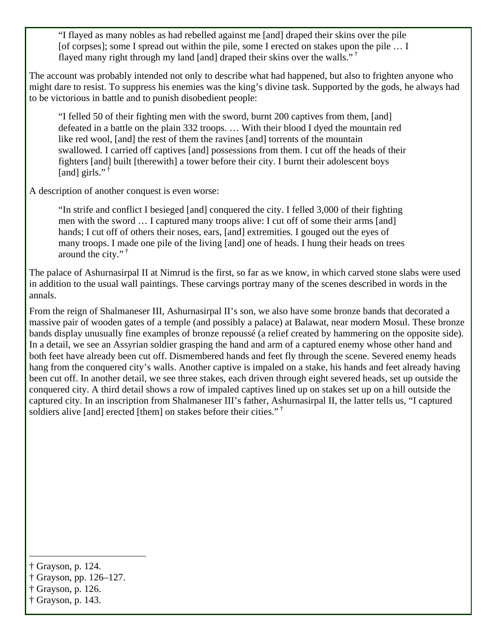"I flayed as many nobles as had rebelled against me [and] draped their skins over the pile [of corpses]; some I spread out within the pile, some I erected on stakes upon the pile ... I flayed many right through my land [and] draped their skins over the walls." †

The account was probably intended not only to describe what had happened, but also to frighten anyone who might dare to resist. To suppress his enemies was the king's divine task. Supported by the gods, he always had to be victorious in battle and to punish disobedient people:

"I felled 50 of their fighting men with the sword, burnt 200 captives from them, [and] defeated in a battle on the plain 332 troops. … With their blood I dyed the mountain red like red wool, [and] the rest of them the ravines [and] torrents of the mountain swallowed. I carried off captives [and] possessions from them. I cut off the heads of their fighters [and] built [therewith] a tower before their city. I burnt their adolescent boys [and] girls." $\dagger$ 

A description of another conquest is even worse:

"In strife and conflict I besieged [and] conquered the city. I felled 3,000 of their fighting men with the sword … I captured many troops alive: I cut off of some their arms [and] hands; I cut off of others their noses, ears, [and] extremities. I gouged out the eyes of many troops. I made one pile of the living [and] one of heads. I hung their heads on trees around the city." †

The palace of Ashurnasirpal II at Nimrud is the first, so far as we know, in which carved stone slabs were used in addition to the usual wall paintings. These carvings portray many of the scenes described in words in the annals.

From the reign of Shalmaneser III, Ashurnasirpal II's son, we also have some bronze bands that decorated a massive pair of wooden gates of a temple (and possibly a palace) at Balawat, near modern Mosul. These bronze bands display unusually fine examples of bronze repoussé (a relief created by hammering on the opposite side). In a detail, we see an Assyrian soldier grasping the hand and arm of a captured enemy whose other hand and both feet have already been cut off. Dismembered hands and feet fly through the scene. Severed enemy heads hang from the conquered city's walls. Another captive is impaled on a stake, his hands and feet already having been cut off. In another detail, we see three stakes, each driven through eight severed heads, set up outside the conquered city. A third detail shows a row of impaled captives lined up on stakes set up on a hill outside the captured city. In an inscription from Shalmaneser III's father, Ashurnasirpal II, the latter tells us, "I captured soldiers alive [and] erected [them] on stakes before their cities." †

† Grayson, p. 124.

 $\overline{a}$ 

- † Grayson, pp. 126–127.
- † Grayson, p. 126.
- † Grayson, p. 143.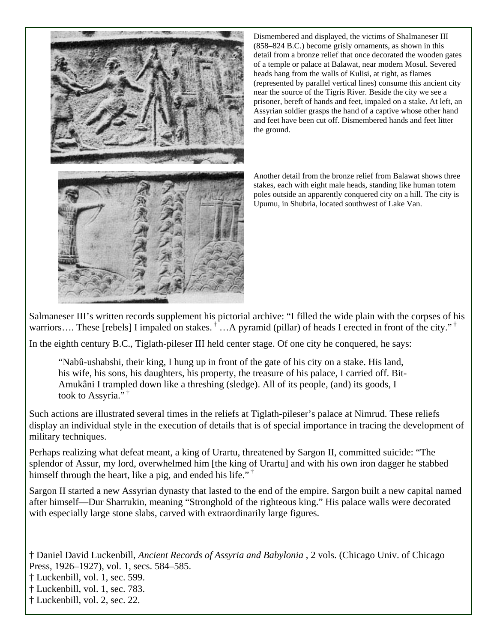

Dismembered and displayed, the victims of Shalmaneser III (858–824 B.C.) become grisly ornaments, as shown in this detail from a bronze relief that once decorated the wooden gates of a temple or palace at Balawat, near modern Mosul. Severed heads hang from the walls of Kulisi, at right, as flames (represented by parallel vertical lines) consume this ancient city near the source of the Tigris River. Beside the city we see a prisoner, bereft of hands and feet, impaled on a stake. At left, an Assyrian soldier grasps the hand of a captive whose other hand and feet have been cut off. Dismembered hands and feet litter the ground.

Another detail from the bronze relief from Balawat shows three stakes, each with eight male heads, standing like human totem poles outside an apparently conquered city on a hill. The city is Upumu, in Shubria, located southwest of Lake Van.

Salmaneser III's written records supplement his pictorial archive: "I filled the wide plain with the corpses of his warriors.... These [rebels] I impaled on stakes.<sup>†</sup> ...A pyramid (pillar) of heads I erected in front of the city."<sup>†</sup>

In the eighth century B.C., Tiglath-pileser III held center stage. Of one city he conquered, he says:

"Nabû-ushabshi, their king, I hung up in front of the gate of his city on a stake. His land, his wife, his sons, his daughters, his property, the treasure of his palace, I carried off. Bit-Amukâni I trampled down like a threshing (sledge). All of its people, (and) its goods, I took to Assyria." †

Such actions are illustrated several times in the reliefs at Tiglath-pileser's palace at Nimrud. These reliefs display an individual style in the execution of details that is of special importance in tracing the development of military techniques.

Perhaps realizing what defeat meant, a king of Urartu, threatened by Sargon II, committed suicide: "The splendor of Assur, my lord, overwhelmed him [the king of Urartu] and with his own iron dagger he stabbed himself through the heart, like a pig, and ended his life." $\dagger$ 

Sargon II started a new Assyrian dynasty that lasted to the end of the empire. Sargon built a new capital named after himself—Dur Sharrukin, meaning "Stronghold of the righteous king." His palace walls were decorated with especially large stone slabs, carved with extraordinarily large figures.

† Luckenbill, vol. 1, sec. 599.

 $\overline{a}$ 

† Luckenbill, vol. 2, sec. 22.

<sup>†</sup> Daniel David Luckenbill, *Ancient Records of Assyria and Babylonia* , 2 vols. (Chicago Univ. of Chicago Press, 1926–1927), vol. 1, secs. 584–585.

<sup>†</sup> Luckenbill, vol. 1, sec. 783.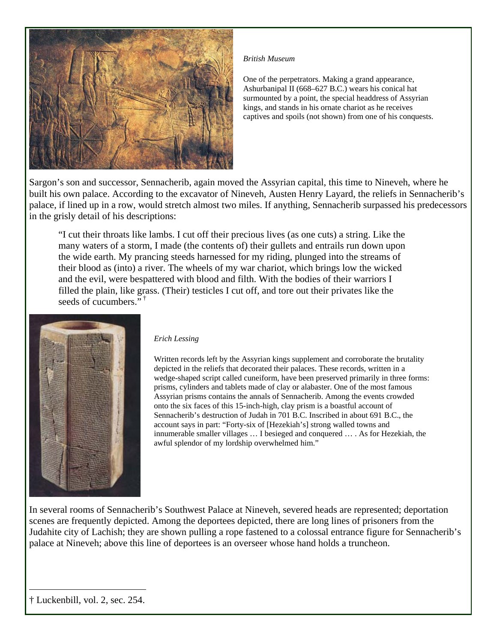

#### *British Museum*

One of the perpetrators. Making a grand appearance, Ashurbanipal II (668–627 B.C.) wears his conical hat surmounted by a point, the special headdress of Assyrian kings, and stands in his ornate chariot as he receives captives and spoils (not shown) from one of his conquests.

Sargon's son and successor, Sennacherib, again moved the Assyrian capital, this time to Nineveh, where he built his own palace. According to the excavator of Nineveh, Austen Henry Layard, the reliefs in Sennacherib's palace, if lined up in a row, would stretch almost two miles. If anything, Sennacherib surpassed his predecessors in the grisly detail of his descriptions:

"I cut their throats like lambs. I cut off their precious lives (as one cuts) a string. Like the many waters of a storm, I made (the contents of) their gullets and entrails run down upon the wide earth. My prancing steeds harnessed for my riding, plunged into the streams of their blood as (into) a river. The wheels of my war chariot, which brings low the wicked and the evil, were bespattered with blood and filth. With the bodies of their warriors I filled the plain, like grass. (Their) testicles I cut off, and tore out their privates like the seeds of cucumbers."<sup>†</sup>



### *Erich Lessing*

Written records left by the Assyrian kings supplement and corroborate the brutality depicted in the reliefs that decorated their palaces. These records, written in a wedge-shaped script called cuneiform, have been preserved primarily in three forms: prisms, cylinders and tablets made of clay or alabaster. One of the most famous Assyrian prisms contains the annals of Sennacherib. Among the events crowded onto the six faces of this 15-inch-high, clay prism is a boastful account of Sennacherib's destruction of Judah in 701 B.C. Inscribed in about 691 B.C., the account says in part: "Forty-six of [Hezekiah's] strong walled towns and innumerable smaller villages … I besieged and conquered … . As for Hezekiah, the awful splendor of my lordship overwhelmed him."

In several rooms of Sennacherib's Southwest Palace at Nineveh, severed heads are represented; deportation scenes are frequently depicted. Among the deportees depicted, there are long lines of prisoners from the Judahite city of Lachish; they are shown pulling a rope fastened to a colossal entrance figure for Sennacherib's palace at Nineveh; above this line of deportees is an overseer whose hand holds a truncheon.

1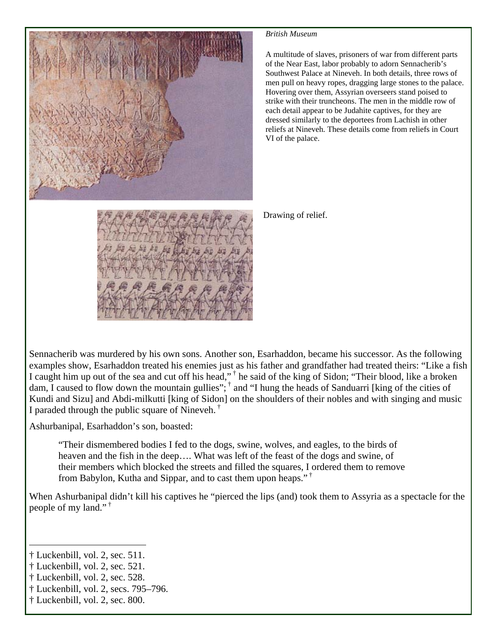

### *British Museum*

A multitude of slaves, prisoners of war from different parts of the Near East, labor probably to adorn Sennacherib's Southwest Palace at Nineveh. In both details, three rows of men pull on heavy ropes, dragging large stones to the palace. Hovering over them, Assyrian overseers stand poised to strike with their truncheons. The men in the middle row of each detail appear to be Judahite captives, for they are dressed similarly to the deportees from Lachish in other reliefs at Nineveh. These details come from reliefs in Court VI of the palace.

Drawing of relief.

Sennacherib was murdered by his own sons. Another son, Esarhaddon, became his successor. As the following examples show, Esarhaddon treated his enemies just as his father and grandfather had treated theirs: "Like a fish I caught him up out of the sea and cut off his head," † he said of the king of Sidon; "Their blood, like a broken dam, I caused to flow down the mountain gullies"; † and "I hung the heads of Sanduarri [king of the cities of Kundi and Sizu] and Abdi-milkutti [king of Sidon] on the shoulders of their nobles and with singing and music I paraded through the public square of Nineveh. †

Ashurbanipal, Esarhaddon's son, boasted:

"Their dismembered bodies I fed to the dogs, swine, wolves, and eagles, to the birds of heaven and the fish in the deep…. What was left of the feast of the dogs and swine, of their members which blocked the streets and filled the squares, I ordered them to remove from Babylon, Kutha and Sippar, and to cast them upon heaps." †

When Ashurbanipal didn't kill his captives he "pierced the lips (and) took them to Assyria as a spectacle for the people of my land." †

 $\overline{a}$ 

<sup>†</sup> Luckenbill, vol. 2, sec. 511.

<sup>†</sup> Luckenbill, vol. 2, sec. 521.

<sup>†</sup> Luckenbill, vol. 2, sec. 528.

<sup>†</sup> Luckenbill, vol. 2, secs. 795–796.

<sup>†</sup> Luckenbill, vol. 2, sec. 800.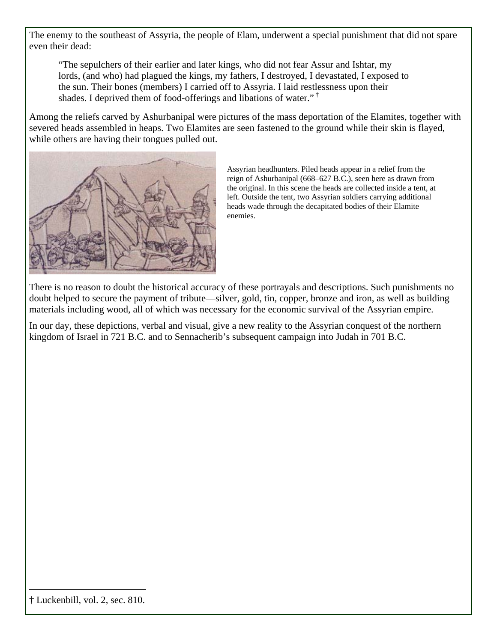The enemy to the southeast of Assyria, the people of Elam, underwent a special punishment that did not spare even their dead:

"The sepulchers of their earlier and later kings, who did not fear Assur and Ishtar, my lords, (and who) had plagued the kings, my fathers, I destroyed, I devastated, I exposed to the sun. Their bones (members) I carried off to Assyria. I laid restlessness upon their shades. I deprived them of food-offerings and libations of water." †

Among the reliefs carved by Ashurbanipal were pictures of the mass deportation of the Elamites, together with severed heads assembled in heaps. Two Elamites are seen fastened to the ground while their skin is flayed, while others are having their tongues pulled out.



Assyrian headhunters. Piled heads appear in a relief from the reign of Ashurbanipal (668–627 B.C.), seen here as drawn from the original. In this scene the heads are collected inside a tent, at left. Outside the tent, two Assyrian soldiers carrying additional heads wade through the decapitated bodies of their Elamite enemies.

There is no reason to doubt the historical accuracy of these portrayals and descriptions. Such punishments no doubt helped to secure the payment of tribute—silver, gold, tin, copper, bronze and iron, as well as building materials including wood, all of which was necessary for the economic survival of the Assyrian empire.

In our day, these depictions, verbal and visual, give a new reality to the Assyrian conquest of the northern kingdom of Israel in 721 B.C. and to Sennacherib's subsequent campaign into Judah in 701 B.C.

1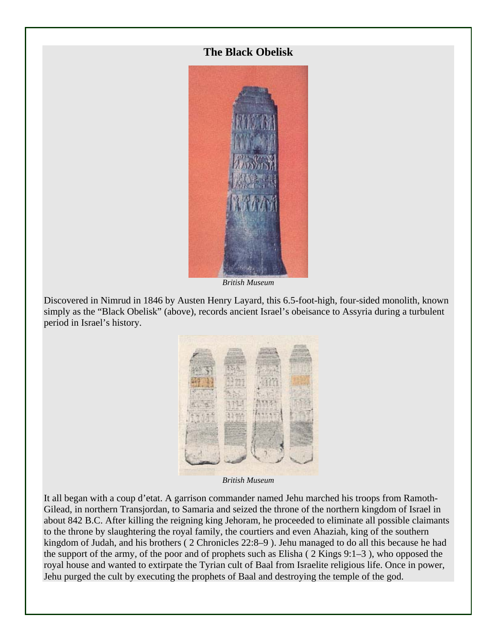## **The Black Obelisk**



*British Museum* 

Discovered in Nimrud in 1846 by Austen Henry Layard, this 6.5-foot-high, four-sided monolith, known simply as the "Black Obelisk" (above), records ancient Israel's obeisance to Assyria during a turbulent period in Israel's history.



*British Museum* 

It all began with a coup d'etat. A garrison commander named Jehu marched his troops from Ramoth-Gilead, in northern Transjordan, to Samaria and seized the throne of the northern kingdom of Israel in about 842 B.C. After killing the reigning king Jehoram, he proceeded to eliminate all possible claimants to the throne by slaughtering the royal family, the courtiers and even Ahaziah, king of the southern kingdom of Judah, and his brothers ( 2 Chronicles 22:8–9 ). Jehu managed to do all this because he had the support of the army, of the poor and of prophets such as Elisha ( 2 Kings 9:1–3 ), who opposed the royal house and wanted to extirpate the Tyrian cult of Baal from Israelite religious life. Once in power, Jehu purged the cult by executing the prophets of Baal and destroying the temple of the god.